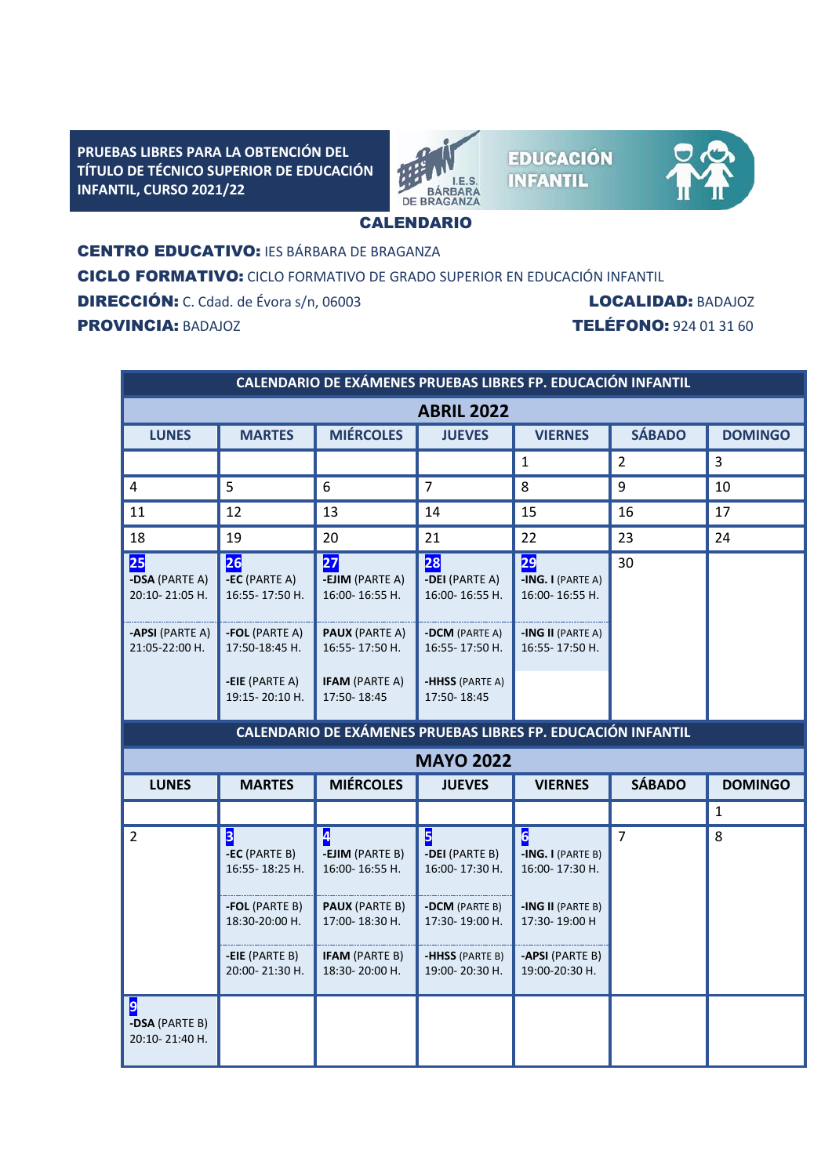**PRUEBAS LIBRES PARA LA OBTENCIÓN DEL TÍTULO DE TÉCNICO SUPERIOR DE EDUCACIÓN INFANTIL, CURSO 2021/22**



**EDUCACIÓN INFANTIL** 



## CALENDARIO

CENTRO EDUCATIVO: IES BÁRBARA DE BRAGANZA

CICLO FORMATIVO: CICLO FORMATIVO DE GRADO SUPERIOR EN EDUCACIÓN INFANTIL

DIRECCIÓN: C. Cdad. de Évora s/n, 06003LOCALIDAD: BADAJOZ PROVINCIA: BADAJOZ TELÉFONO: 924 01 31 60

| CALENDARIO DE EXÁMENES PRUEBAS LIBRES FP. EDUCACIÓN INFANTIL |                                                                                                              |                                                                                                                              |                                                                                                                |                                                                                                                                  |                |                |
|--------------------------------------------------------------|--------------------------------------------------------------------------------------------------------------|------------------------------------------------------------------------------------------------------------------------------|----------------------------------------------------------------------------------------------------------------|----------------------------------------------------------------------------------------------------------------------------------|----------------|----------------|
| <b>ABRIL 2022</b>                                            |                                                                                                              |                                                                                                                              |                                                                                                                |                                                                                                                                  |                |                |
| <b>LUNES</b>                                                 | <b>MARTES</b>                                                                                                | <b>MIÉRCOLES</b>                                                                                                             | <b>JUEVES</b>                                                                                                  | <b>VIERNES</b>                                                                                                                   | <b>SÁBADO</b>  | <b>DOMINGO</b> |
|                                                              |                                                                                                              |                                                                                                                              |                                                                                                                | 1                                                                                                                                | $\overline{2}$ | 3              |
| 4                                                            | 5                                                                                                            | 6                                                                                                                            | $\overline{7}$                                                                                                 | 8                                                                                                                                | 9              | 10             |
| 11                                                           | 12                                                                                                           | 13                                                                                                                           | 14                                                                                                             | 15                                                                                                                               | 16             | 17             |
| 18                                                           | 19                                                                                                           | 20                                                                                                                           | 21                                                                                                             | 22                                                                                                                               | 23             | 24             |
| $\overline{\textbf{25}}$<br>-DSA (PARTE A)<br>20:10-21:05 H. | 26<br>-EC (PARTE A)<br>16:55-17:50 H.                                                                        | 27 <br>-EJIM (PARTE A)<br>16:00-16:55 H.                                                                                     | 28<br>-DEI (PARTE A)<br>16:00-16:55 H.                                                                         | 29 <br>-ING. I (PARTE A)<br>16:00-16:55 H.                                                                                       | 30             |                |
| -APSI (PARTE A)<br>21:05-22:00 H.                            | -FOL (PARTE A)<br>17:50-18:45 H.                                                                             | <b>PAUX (PARTE A)</b><br>16:55-17:50 H.                                                                                      | -DCM (PARTE A)<br>16:55-17:50 H.                                                                               | -ING II (PARTE A)<br>16:55-17:50 H.                                                                                              |                |                |
|                                                              | <b>-EIE</b> (PARTE A)<br>19:15-20:10 H.                                                                      | <b>IFAM (PARTE A)</b><br>17:50-18:45                                                                                         | -HHSS (PARTE A)<br>17:50-18:45                                                                                 |                                                                                                                                  |                |                |
| CALENDARIO DE EXÁMENES PRUEBAS LIBRES FP. EDUCACIÓN INFANTIL |                                                                                                              |                                                                                                                              |                                                                                                                |                                                                                                                                  |                |                |
| <b>MAYO 2022</b>                                             |                                                                                                              |                                                                                                                              |                                                                                                                |                                                                                                                                  |                |                |
| <b>LUNES</b>                                                 | <b>MARTES</b>                                                                                                | <b>MIÉRCOLES</b>                                                                                                             | <b>JUEVES</b>                                                                                                  | <b>VIERNES</b>                                                                                                                   | <b>SÁBADO</b>  | <b>DOMINGO</b> |
|                                                              |                                                                                                              |                                                                                                                              |                                                                                                                |                                                                                                                                  |                | $\mathbf{1}$   |
| $\overline{2}$                                               | 3<br>-EC (PARTE B)<br>16:55-18:25 H.<br>-FOL (PARTE B)<br>18:30-20:00 H.<br>-EIE (PARTE B)<br>20:00-21:30 H. | 4<br>-EJIM (PARTE B)<br>16:00-16:55 H.<br><b>PAUX (PARTE B)</b><br>17:00-18:30 H.<br><b>IFAM (PARTE B)</b><br>18:30-20:00 H. | 5<br>-DEI (PARTE B)<br>16:00-17:30 H.<br>-DCM (PARTE B)<br>17:30-19:00 H.<br>-HHSS (PARTE B)<br>19:00-20:30 H. | $\mathbf{6}$<br>$-ING. I (PARTE B)$<br>16:00-17:30 H.<br>-ING II (PARTE B)<br>17:30-19:00 H<br>-APSI (PARTE B)<br>19:00-20:30 H. | $\overline{7}$ | 8              |
| 9<br>-DSA (PARTE B)<br>20:10-21:40 H.                        |                                                                                                              |                                                                                                                              |                                                                                                                |                                                                                                                                  |                |                |